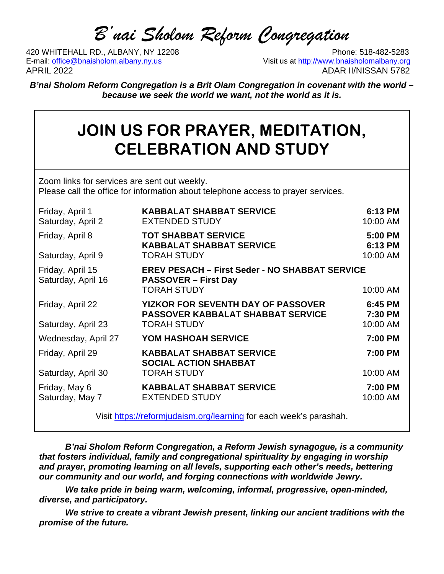# *B'nai Sholom Reform Congregation*

420 WHITEHALL RD., ALBANY, NY 12208<br>E-mail: office@bnaisholom.albany.ny.us<br>Visit us at http://www.bnaisholomalbany.org E-mail: office@bnaisholom.albany.ny.us APRIL 2022 ADAR II/NISSAN 5782

*B'nai Sholom Reform Congregation is a Brit Olam Congregation in covenant with the world – because we seek the world we want, not the world as it is.*

# **JOIN US FOR PRAYER, MEDITATION, CELEBRATION AND STUDY**

Zoom links for services are sent out weekly. Please call the office for information about telephone access to prayer services.

| Friday, April 1<br>Saturday, April 2   | <b>KABBALAT SHABBAT SERVICE</b><br><b>EXTENDED STUDY</b>                              | 6:13 PM<br>10:00 AM |
|----------------------------------------|---------------------------------------------------------------------------------------|---------------------|
| Friday, April 8                        | <b>TOT SHABBAT SERVICE</b><br><b>KABBALAT SHABBAT SERVICE</b>                         | 5:00 PM<br>6:13 PM  |
| Saturday, April 9                      | <b>TORAH STUDY</b>                                                                    | 10:00 AM            |
| Friday, April 15<br>Saturday, April 16 | <b>EREV PESACH - First Seder - NO SHABBAT SERVICE</b><br><b>PASSOVER – First Day</b>  |                     |
|                                        | <b>TORAH STUDY</b>                                                                    | 10:00 AM            |
| Friday, April 22                       | <b>YIZKOR FOR SEVENTH DAY OF PASSOVER</b><br><b>PASSOVER KABBALAT SHABBAT SERVICE</b> | 6:45 PM<br>7:30 PM  |
| Saturday, April 23                     | <b>TORAH STUDY</b>                                                                    | 10:00 AM            |
| Wednesday, April 27                    | YOM HASHOAH SERVICE                                                                   | 7:00 PM             |
| Friday, April 29                       | <b>KABBALAT SHABBAT SERVICE</b><br><b>SOCIAL ACTION SHABBAT</b>                       | 7:00 PM             |
| Saturday, April 30                     | <b>TORAH STUDY</b>                                                                    | 10:00 AM            |
| Friday, May 6<br>Saturday, May 7       | <b>KABBALAT SHABBAT SERVICE</b><br><b>EXTENDED STUDY</b>                              | 7:00 PM<br>10:00 AM |

Visit [https://reformjudaism.org/learning](about:blank) for each week's parashah.

*B'nai Sholom Reform Congregation, a Reform Jewish synagogue, is a community that fosters individual, family and congregational spirituality by engaging in worship and prayer, promoting learning on all levels, supporting each other's needs, bettering our community and our world, and forging connections with worldwide Jewry.*

*We take pride in being warm, welcoming, informal, progressive, open-minded, diverse, and participatory.*

*We strive to create a vibrant Jewish present, linking our ancient traditions with the promise of the future.*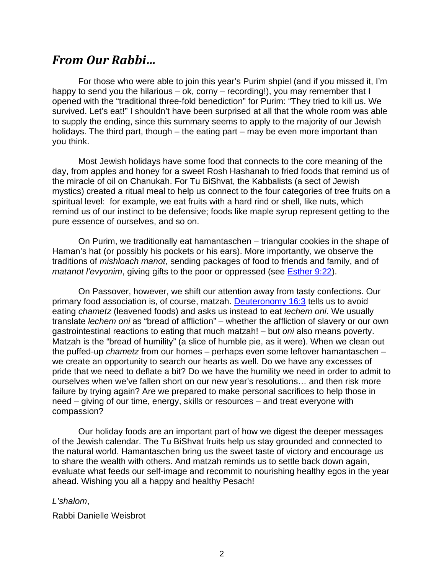### *From Our Rabbi…*

For those who were able to join this year's Purim shpiel (and if you missed it, I'm happy to send you the hilarious – ok, corny – recording!), you may remember that I opened with the "traditional three-fold benediction" for Purim: "They tried to kill us. We survived. Let's eat!" I shouldn't have been surprised at all that the whole room was able to supply the ending, since this summary seems to apply to the majority of our Jewish holidays. The third part, though – the eating part – may be even more important than you think.

Most Jewish holidays have some food that connects to the core meaning of the day, from apples and honey for a sweet Rosh Hashanah to fried foods that remind us of the miracle of oil on Chanukah. For Tu BiShvat, the Kabbalists (a sect of Jewish mystics) created a ritual meal to help us connect to the four categories of tree fruits on a spiritual level: for example, we eat fruits with a hard rind or shell, like nuts, which remind us of our instinct to be defensive; foods like maple syrup represent getting to the pure essence of ourselves, and so on.

On Purim, we traditionally eat hamantaschen – triangular cookies in the shape of Haman's hat (or possibly his pockets or his ears). More importantly, we observe the traditions of *mishloach manot*, sending packages of food to friends and family, and of *matanot l'evyonim*, giving gifts to the poor or oppressed (see [Esther 9:22\)](about:blank).

On Passover, however, we shift our attention away from tasty confections. Our primary food association is, of course, matzah. [Deuteronomy 16:3](about:blank) tells us to avoid eating *chametz* (leavened foods) and asks us instead to eat *lechem oni*. We usually translate *lechem oni* as "bread of affliction" – whether the affliction of slavery or our own gastrointestinal reactions to eating that much matzah! – but *oni* also means poverty. Matzah is the "bread of humility" (a slice of humble pie, as it were). When we clean out the puffed-up *chametz* from our homes – perhaps even some leftover hamantaschen – we create an opportunity to search our hearts as well. Do we have any excesses of pride that we need to deflate a bit? Do we have the humility we need in order to admit to ourselves when we've fallen short on our new year's resolutions… and then risk more failure by trying again? Are we prepared to make personal sacrifices to help those in need – giving of our time, energy, skills or resources – and treat everyone with compassion?

Our holiday foods are an important part of how we digest the deeper messages of the Jewish calendar. The Tu BiShvat fruits help us stay grounded and connected to the natural world. Hamantaschen bring us the sweet taste of victory and encourage us to share the wealth with others. And matzah reminds us to settle back down again, evaluate what feeds our self-image and recommit to nourishing healthy egos in the year ahead. Wishing you all a happy and healthy Pesach!

#### *L'shalom*,

Rabbi Danielle Weisbrot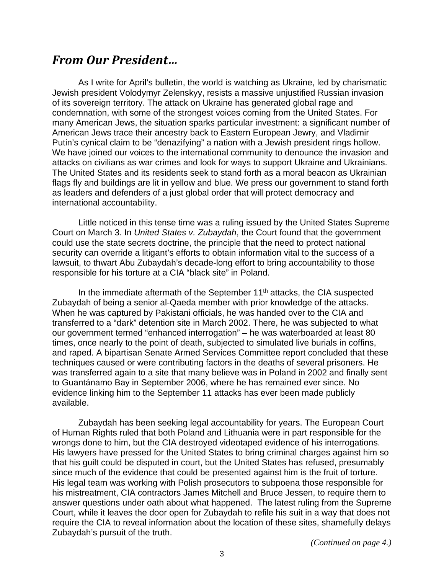### *From Our President…*

As I write for April's bulletin, the world is watching as Ukraine, led by charismatic Jewish president Volodymyr Zelenskyy, resists a massive unjustified Russian invasion of its sovereign territory. The attack on Ukraine has generated global rage and condemnation, with some of the strongest voices coming from the United States. For many American Jews, the situation sparks particular investment: a significant number of American Jews trace their ancestry back to Eastern European Jewry, and Vladimir Putin's cynical claim to be "denazifying" a nation with a Jewish president rings hollow. We have joined our voices to the international community to denounce the invasion and attacks on civilians as war crimes and look for ways to support Ukraine and Ukrainians. The United States and its residents seek to stand forth as a moral beacon as Ukrainian flags fly and buildings are lit in yellow and blue. We press our government to stand forth as leaders and defenders of a just global order that will protect democracy and international accountability.

Little noticed in this tense time was a ruling issued by the United States Supreme Court on March 3. In *United States v. Zubaydah*, the Court found that the government could use the state secrets doctrine, the principle that the need to protect national security can override a litigant's efforts to obtain information vital to the success of a lawsuit, to thwart Abu Zubaydah's decade-long effort to bring accountability to those responsible for his torture at a CIA "black site" in Poland.

In the immediate aftermath of the September  $11<sup>th</sup>$  attacks, the CIA suspected Zubaydah of being a senior al-Qaeda member with prior knowledge of the attacks. When he was captured by Pakistani officials, he was handed over to the CIA and transferred to a "dark" detention site in March 2002. There, he was subjected to what our government termed "enhanced interrogation" – he was waterboarded at least 80 times, once nearly to the point of death, subjected to simulated live burials in coffins, and raped. A bipartisan Senate Armed Services Committee report concluded that these techniques caused or were contributing factors in the deaths of several prisoners. He was transferred again to a site that many believe was in Poland in 2002 and finally sent to Guantánamo Bay in September 2006, where he has remained ever since. No evidence linking him to the September 11 attacks has ever been made publicly available.

Zubaydah has been seeking legal accountability for years. The European Court of Human Rights ruled that both Poland and Lithuania were in part responsible for the wrongs done to him, but the CIA destroyed videotaped evidence of his interrogations. His lawyers have pressed for the United States to bring criminal charges against him so that his guilt could be disputed in court, but the United States has refused, presumably since much of the evidence that could be presented against him is the fruit of torture. His legal team was working with Polish prosecutors to subpoena those responsible for his mistreatment, CIA contractors James Mitchell and Bruce Jessen, to require them to answer questions under oath about what happened. The latest ruling from the Supreme Court, while it leaves the door open for Zubaydah to refile his suit in a way that does not require the CIA to reveal information about the location of these sites, shamefully delays Zubaydah's pursuit of the truth.

*(Continued on page 4.)*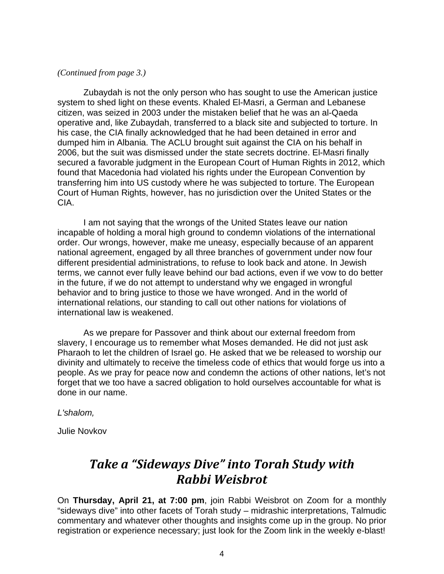#### *(Continued from page 3.)*

Zubaydah is not the only person who has sought to use the American justice system to shed light on these events. Khaled El-Masri, a German and Lebanese citizen, was seized in 2003 under the mistaken belief that he was an al-Qaeda operative and, like Zubaydah, transferred to a black site and subjected to torture. In his case, the CIA finally acknowledged that he had been detained in error and dumped him in Albania. The ACLU brought suit against the CIA on his behalf in 2006, but the suit was dismissed under the state secrets doctrine. El-Masri finally secured a favorable judgment in the European Court of Human Rights in 2012, which found that Macedonia had violated his rights under the European Convention by transferring him into US custody where he was subjected to torture. The European Court of Human Rights, however, has no jurisdiction over the United States or the CIA.

I am not saying that the wrongs of the United States leave our nation incapable of holding a moral high ground to condemn violations of the international order. Our wrongs, however, make me uneasy, especially because of an apparent national agreement, engaged by all three branches of government under now four different presidential administrations, to refuse to look back and atone. In Jewish terms, we cannot ever fully leave behind our bad actions, even if we vow to do better in the future, if we do not attempt to understand why we engaged in wrongful behavior and to bring justice to those we have wronged. And in the world of international relations, our standing to call out other nations for violations of international law is weakened.

As we prepare for Passover and think about our external freedom from slavery, I encourage us to remember what Moses demanded. He did not just ask Pharaoh to let the children of Israel go. He asked that we be released to worship our divinity and ultimately to receive the timeless code of ethics that would forge us into a people. As we pray for peace now and condemn the actions of other nations, let's not forget that we too have a sacred obligation to hold ourselves accountable for what is done in our name.

*L'shalom,*

Julie Novkov

## *Take a "Sideways Dive" into Torah Study with Rabbi Weisbrot*

On **Thursday, April 21, at 7:00 pm**, join Rabbi Weisbrot on Zoom for a monthly "sideways dive" into other facets of Torah study – midrashic interpretations, Talmudic commentary and whatever other thoughts and insights come up in the group. No prior registration or experience necessary; just look for the Zoom link in the weekly e-blast!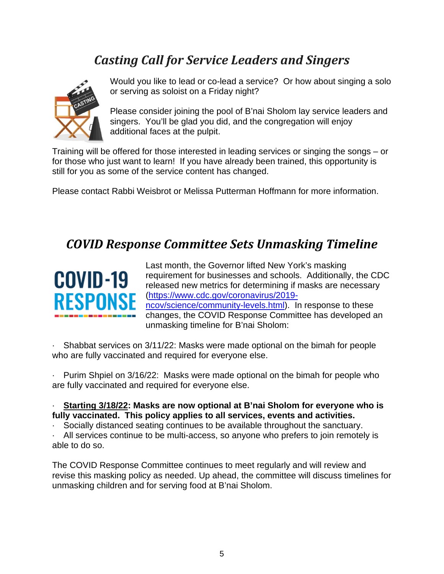# *Casting Call for Service Leaders and Singers*



Would you like to lead or co-lead a service? Or how about singing a solo or serving as soloist on a Friday night?

Please consider joining the pool of B'nai Sholom lay service leaders and singers. You'll be glad you did, and the congregation will enjoy additional faces at the pulpit.

Training will be offered for those interested in leading services or singing the songs – or for those who just want to learn! If you have already been trained, this opportunity is still for you as some of the service content has changed.

Please contact Rabbi Weisbrot or Melissa Putterman Hoffmann for more information.

## *COVID Response Committee Sets Unmasking Timeline*



Last month, the Governor lifted New York's masking requirement for businesses and schools. Additionally, the CDC released new metrics for determining if masks are necessary [\(https://www.cdc.gov/coronavirus/2019](about:blank) [ncov/science/community-levels.html\)](about:blank). In response to these changes, the COVID Response Committee has developed an unmasking timeline for B'nai Sholom:

· Shabbat services on 3/11/22: Masks were made optional on the bimah for people who are fully vaccinated and required for everyone else.

· Purim Shpiel on 3/16/22: Masks were made optional on the bimah for people who are fully vaccinated and required for everyone else.

#### · **Starting 3/18/22: Masks are now optional at B'nai Sholom for everyone who is fully vaccinated. This policy applies to all services, events and activities.**

· Socially distanced seating continues to be available throughout the sanctuary.

All services continue to be multi-access, so anyone who prefers to join remotely is able to do so.

The COVID Response Committee continues to meet regularly and will review and revise this masking policy as needed. Up ahead, the committee will discuss timelines for unmasking children and for serving food at B'nai Sholom.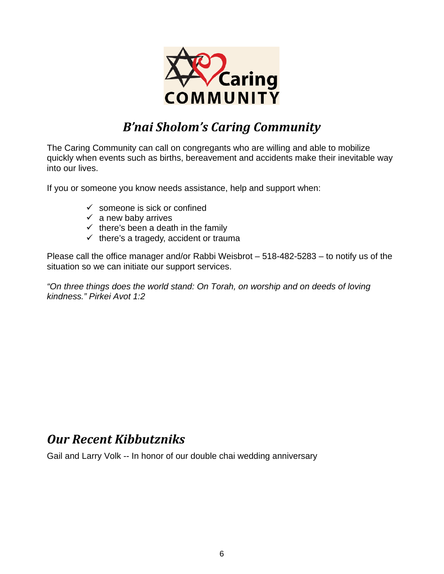

# *B'nai Sholom's Caring Community*

The Caring Community can call on congregants who are willing and able to mobilize quickly when events such as births, bereavement and accidents make their inevitable way into our lives.

If you or someone you know needs assistance, help and support when:

- $\checkmark$  someone is sick or confined
- $\checkmark$  a new baby arrives
- $\checkmark$  there's been a death in the family
- $\checkmark$  there's a tragedy, accident or trauma

Please call the office manager and/or Rabbi Weisbrot – 518-482-5283 – to notify us of the situation so we can initiate our support services.

*"On three things does the world stand: On Torah, on worship and on deeds of loving kindness." Pirkei Avot 1:2*

### *Our Recent Kibbutzniks*

Gail and Larry Volk -- In honor of our double chai wedding anniversary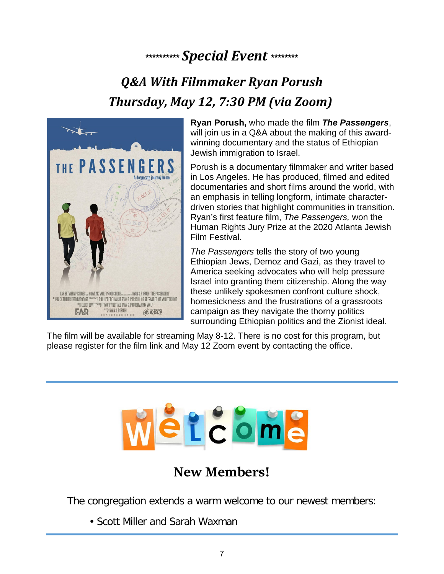# **\*\*\*\*\*\*\*\*\*\*** *Special Event* **\*\*\*\*\*\*\*\***

# *Q&A With Filmmaker Ryan Porush Thursday, May 12, 7:30 PM (via Zoom)*



**Ryan Porush,** who made the film *The Passengers*, will join us in a Q&A about the making of this awardwinning documentary and the status of Ethiopian Jewish immigration to Israel.

Porush is a documentary filmmaker and writer based in Los Angeles. He has produced, filmed and edited documentaries and short films around the world, with an emphasis in telling longform, intimate characterdriven stories that highlight communities in transition. Ryan's first feature film, *The Passengers,* won the Human Rights Jury Prize at the 2020 Atlanta Jewish Film Festival.

*The Passengers* tells the story of two young Ethiopian Jews, Demoz and Gazi, as they travel to America seeking advocates who will help pressure Israel into granting them citizenship. Along the way these unlikely spokesmen confront culture shock, homesickness and the frustrations of a grassroots campaign as they navigate the thorny politics surrounding Ethiopian politics and the Zionist ideal.

The film will be available for streaming May 8-12. There is no cost for this program, but please register for the film link and May 12 Zoom event by contacting the office.



## **New Members!**

The congregation extends a warm welcome to our newest members:

• Scott Miller and Sarah Waxman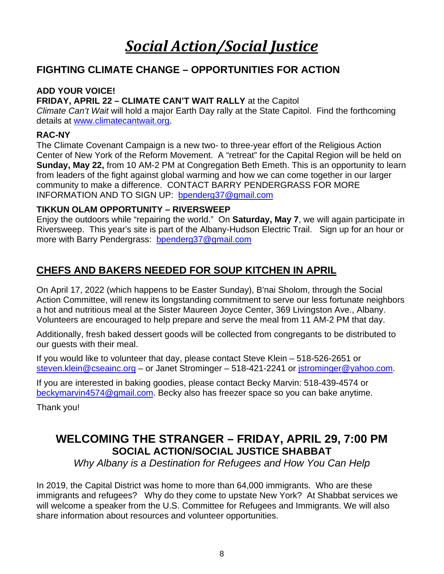# *Social Action/Social Justice*

### **FIGHTING CLIMATE CHANGE – OPPORTUNITIES FOR ACTION**

#### **ADD YOUR VOICE!**

#### **FRIDAY, APRIL 22 – CLIMATE CAN'T WAIT RALLY** at the Capitol

*Climate Can't Wait* will hold a major Earth Day rally at the State Capitol. Find the forthcoming details at [www.climatecantwait.org.](http://www.climatecantwait.org/)

#### **RAC-NY**

The Climate Covenant Campaign is a new two- to three-year effort of the Religious Action Center of New York of the Reform Movement. A "retreat" for the Capital Region will be held on **Sunday, May 22,** from 10 AM-2 PM at Congregation Beth Emeth. This is an opportunity to learn from leaders of the fight against global warming and how we can come together in our larger community to make a difference. CONTACT BARRY PENDERGRASS FOR MORE INFORMATION AND TO SIGN UP: [bpenderg37@gmail.com](about:blank)

#### **TIKKUN OLAM OPPORTUNITY – RIVERSWEEP**

Enjoy the outdoors while "repairing the world." On **Saturday, May 7**, we will again participate in Riversweep. This year's site is part of the Albany-Hudson Electric Trail. Sign up for an hour or more with Barry Pendergrass: [bpenderg37@gmail.com](about:blank)

### **CHEFS AND BAKERS NEEDED FOR SOUP KITCHEN IN APRIL**

On April 17, 2022 (which happens to be Easter Sunday), B'nai Sholom, through the Social Action Committee, will renew its longstanding commitment to serve our less fortunate neighbors a hot and nutritious meal at the Sister Maureen Joyce Center, 369 Livingston Ave., Albany. Volunteers are encouraged to help prepare and serve the meal from 11 AM-2 PM that day.

Additionally, fresh baked dessert goods will be collected from congregants to be distributed to our guests with their meal.

If you would like to volunteer that day, please contact Steve Klein – 518-526-2651 or [steven.klein@cseainc.org](about:blank) – or Janet Strominger – 518-421-2241 or [jstrominger@yahoo.com.](about:blank)

If you are interested in baking goodies, please contact Becky Marvin: 518-439-4574 or [beckymarvin4574@gmail.com.](about:blank) Becky also has freezer space so you can bake anytime.

Thank you!

### **WELCOMING THE STRANGER – FRIDAY, APRIL 29, 7:00 PM SOCIAL ACTION/SOCIAL JUSTICE SHABBAT**

*Why Albany is a Destination for Refugees and How You Can Help*

In 2019, the Capital District was home to more than 64,000 immigrants. Who are these immigrants and refugees? Why do they come to upstate New York? At Shabbat services we will welcome a speaker from the U.S. Committee for Refugees and Immigrants. We will also share information about resources and volunteer opportunities.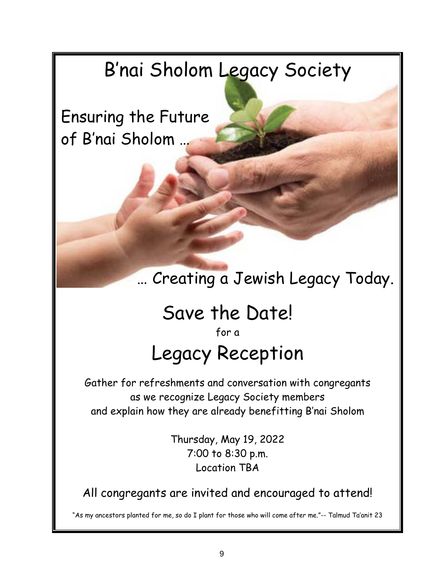# B'nai Sholom Legacy Society

Ensuring the Future of B'nai Sholom …

# … Creating a Jewish Legacy Today.

# Save the Date!

for a Legacy Reception

Gather for refreshments and conversation with congregants as we recognize Legacy Society members and explain how they are already benefitting B'nai Sholom

> Thursday, May 19, 2022 7:00 to 8:30 p.m. Location TBA

All congregants are invited and encouraged to attend!

"As my ancestors planted for me, so do I plant for those who will come after me."-- Talmud Ta'anit 23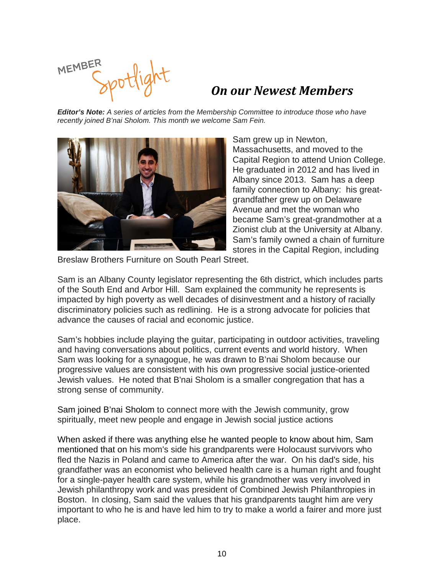MEMBER

### *On our Newest Members*

*Editor's Note: A series of articles from the Membership Committee to introduce those who have recently joined B'nai Sholom. This month we welcome Sam Fein.*



Sam grew up in Newton, Massachusetts, and moved to the Capital Region to attend Union College. He graduated in 2012 and has lived in Albany since 2013. Sam has a deep family connection to Albany: his greatgrandfather grew up on Delaware Avenue and met the woman who became Sam's great-grandmother at a Zionist club at the University at Albany. Sam's family owned a chain of furniture stores in the Capital Region, including

Breslaw Brothers Furniture on South Pearl Street.

Sam is an Albany County legislator representing the 6th district, which includes parts of the South End and Arbor Hill. Sam explained the community he represents is impacted by high poverty as well decades of disinvestment and a history of racially discriminatory policies such as redlining. He is a strong advocate for policies that advance the causes of racial and economic justice.

Sam's hobbies include playing the guitar, participating in outdoor activities, traveling and having conversations about politics, current events and world history. When Sam was looking for a synagogue, he was drawn to B'nai Sholom because our progressive values are consistent with his own progressive social justice-oriented Jewish values. He noted that B'nai Sholom is a smaller congregation that has a strong sense of community.

Sam joined B'nai Sholom to connect more with the Jewish community, grow spiritually, meet new people and engage in Jewish social justice actions

When asked if there was anything else he wanted people to know about him, Sam mentioned that on his mom's side his grandparents were Holocaust survivors who fled the Nazis in Poland and came to America after the war. On his dad's side, his grandfather was an economist who believed health care is a human right and fought for a single-payer health care system, while his grandmother was very involved in Jewish philanthropy work and was president of Combined Jewish Philanthropies in Boston. In closing, Sam said the values that his grandparents taught him are very important to who he is and have led him to try to make a world a fairer and more just place.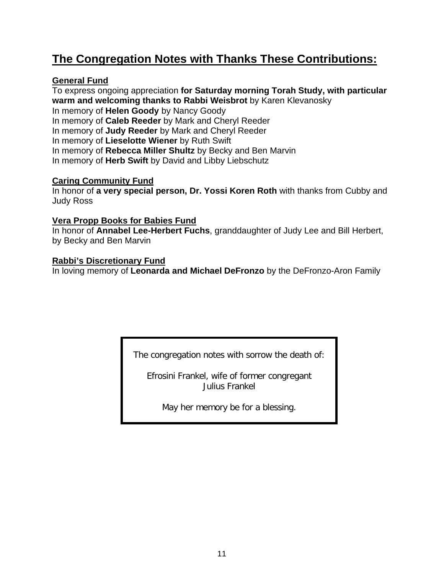## **The Congregation Notes with Thanks These Contributions:**

#### **General Fund**

To express ongoing appreciation **for Saturday morning Torah Study, with particular warm and welcoming thanks to Rabbi Weisbrot** by Karen Klevanosky In memory of **Helen Goody** by Nancy Goody In memory of **Caleb Reeder** by Mark and Cheryl Reeder In memory of **Judy Reeder** by Mark and Cheryl Reeder In memory of **Lieselotte Wiener** by Ruth Swift In memory of **Rebecca Miller Shultz** by Becky and Ben Marvin In memory of **Herb Swift** by David and Libby Liebschutz

#### **Caring Community Fund**

In honor of **a very special person, Dr. Yossi Koren Roth** with thanks from Cubby and Judy Ross

#### **Vera Propp Books for Babies Fund**

In honor of **Annabel Lee-Herbert Fuchs**, granddaughter of Judy Lee and Bill Herbert, by Becky and Ben Marvin

#### **Rabbi's Discretionary Fund**

In loving memory of **Leonarda and Michael DeFronzo** by the DeFronzo-Aron Family

The congregation notes with sorrow the death of:

Efrosini Frankel, wife of former congregant Julius Frankel

May her memory be for a blessing.